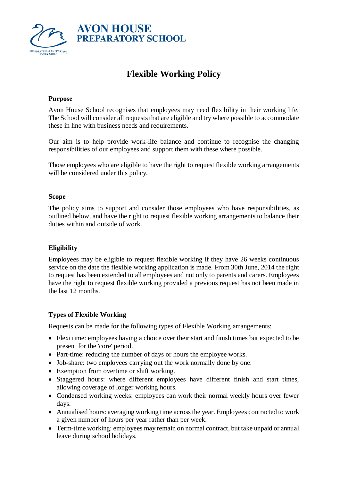

# **Flexible Working Policy**

#### **Purpose**

Avon House School recognises that employees may need flexibility in their working life. The School will consider all requests that are eligible and try where possible to accommodate these in line with business needs and requirements.

Our aim is to help provide work-life balance and continue to recognise the changing responsibilities of our employees and support them with these where possible.

Those employees who are eligible to have the right to request flexible working arrangements will be considered under this policy.

#### **Scope**

The policy aims to support and consider those employees who have responsibilities, as outlined below, and have the right to request flexible working arrangements to balance their duties within and outside of work.

### **Eligibility**

Employees may be eligible to request flexible working if they have 26 weeks continuous service on the date the flexible working application is made. From 30th June, 2014 the right to request has been extended to all employees and not only to parents and carers. Employees have the right to request flexible working provided a previous request has not been made in the last 12 months.

#### **Types of Flexible Working**

Requests can be made for the following types of Flexible Working arrangements:

- Flexi time: employees having a choice over their start and finish times but expected to be present for the 'core' period.
- Part-time: reducing the number of days or hours the employee works.
- Job-share: two employees carrying out the work normally done by one.
- Exemption from overtime or shift working.
- Staggered hours: where different employees have different finish and start times, allowing coverage of longer working hours.
- Condensed working weeks: employees can work their normal weekly hours over fewer days.
- Annualised hours: averaging working time across the year. Employees contracted to work a given number of hours per year rather than per week.
- Term-time working: employees may remain on normal contract, but take unpaid or annual leave during school holidays.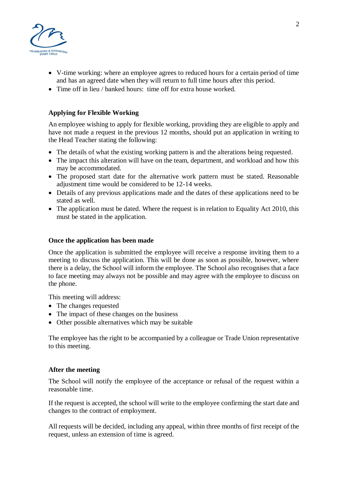

- V-time working: where an employee agrees to reduced hours for a certain period of time and has an agreed date when they will return to full time hours after this period.
- Time off in lieu / banked hours: time off for extra house worked.

## **Applying for Flexible Working**

An employee wishing to apply for flexible working, providing they are eligible to apply and have not made a request in the previous 12 months, should put an application in writing to the Head Teacher stating the following:

- The details of what the existing working pattern is and the alterations being requested.
- The impact this alteration will have on the team, department, and workload and how this may be accommodated.
- The proposed start date for the alternative work pattern must be stated. Reasonable adjustment time would be considered to be 12-14 weeks.
- Details of any previous applications made and the dates of these applications need to be stated as well.
- The application must be dated. Where the request is in relation to Equality Act 2010, this must be stated in the application.

#### **Once the application has been made**

Once the application is submitted the employee will receive a response inviting them to a meeting to discuss the application. This will be done as soon as possible, however, where there is a delay, the School will inform the employee. The School also recognises that a face to face meeting may always not be possible and may agree with the employee to discuss on the phone.

This meeting will address:

- The changes requested
- The impact of these changes on the business
- Other possible alternatives which may be suitable

The employee has the right to be accompanied by a colleague or Trade Union representative to this meeting.

#### **After the meeting**

The School will notify the employee of the acceptance or refusal of the request within a reasonable time.

If the request is accepted, the school will write to the employee confirming the start date and changes to the contract of employment.

All requests will be decided, including any appeal, within three months of first receipt of the request, unless an extension of time is agreed.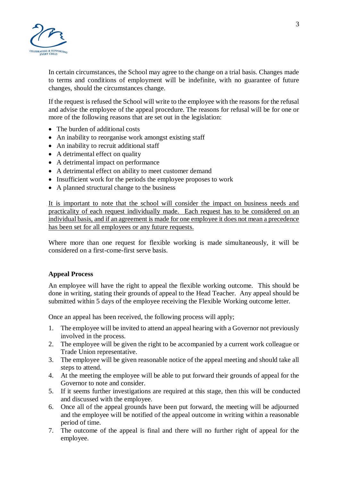

In certain circumstances, the School may agree to the change on a trial basis. Changes made to terms and conditions of employment will be indefinite, with no guarantee of future changes, should the circumstances change.

If the request is refused the School will write to the employee with the reasons for the refusal and advise the employee of the appeal procedure. The reasons for refusal will be for one or more of the following reasons that are set out in the legislation:

- The burden of additional costs
- An inability to reorganise work amongst existing staff
- An inability to recruit additional staff
- A detrimental effect on quality
- A detrimental impact on performance
- A detrimental effect on ability to meet customer demand
- Insufficient work for the periods the employee proposes to work
- A planned structural change to the business

It is important to note that the school will consider the impact on business needs and practicality of each request individually made. Each request has to be considered on an individual basis, and if an agreement is made for one employee it does not mean a precedence has been set for all employees or any future requests.

Where more than one request for flexible working is made simultaneously, it will be considered on a first-come-first serve basis.

#### **Appeal Process**

An employee will have the right to appeal the flexible working outcome. This should be done in writing, stating their grounds of appeal to the Head Teacher. Any appeal should be submitted within 5 days of the employee receiving the Flexible Working outcome letter.

Once an appeal has been received, the following process will apply;

- 1. The employee will be invited to attend an appeal hearing with a Governor not previously involved in the process.
- 2. The employee will be given the right to be accompanied by a current work colleague or Trade Union representative.
- 3. The employee will be given reasonable notice of the appeal meeting and should take all steps to attend.
- 4. At the meeting the employee will be able to put forward their grounds of appeal for the Governor to note and consider.
- 5. If it seems further investigations are required at this stage, then this will be conducted and discussed with the employee.
- 6. Once all of the appeal grounds have been put forward, the meeting will be adjourned and the employee will be notified of the appeal outcome in writing within a reasonable period of time.
- 7. The outcome of the appeal is final and there will no further right of appeal for the employee.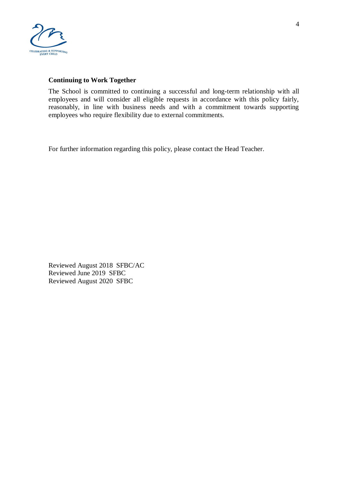

#### **Continuing to Work Together**

The School is committed to continuing a successful and long-term relationship with all employees and will consider all eligible requests in accordance with this policy fairly, reasonably, in line with business needs and with a commitment towards supporting employees who require flexibility due to external commitments.

For further information regarding this policy, please contact the Head Teacher.

Reviewed August 2018 SFBC/AC Reviewed June 2019 SFBC Reviewed August 2020 SFBC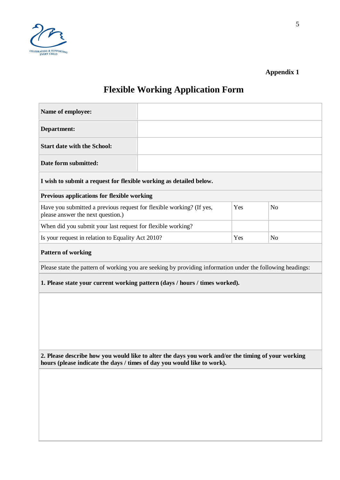

## **Appendix 1**

# **Flexible Working Application Form**

| Name of employee:                                                                                                                                                             |  |     |                |  |  |
|-------------------------------------------------------------------------------------------------------------------------------------------------------------------------------|--|-----|----------------|--|--|
| Department:                                                                                                                                                                   |  |     |                |  |  |
| <b>Start date with the School:</b>                                                                                                                                            |  |     |                |  |  |
| Date form submitted:                                                                                                                                                          |  |     |                |  |  |
| I wish to submit a request for flexible working as detailed below.                                                                                                            |  |     |                |  |  |
| Previous applications for flexible working                                                                                                                                    |  |     |                |  |  |
| Have you submitted a previous request for flexible working? (If yes,<br>please answer the next question.)                                                                     |  | Yes | N <sub>o</sub> |  |  |
| When did you submit your last request for flexible working?                                                                                                                   |  |     |                |  |  |
| Is your request in relation to Equality Act 2010?                                                                                                                             |  | Yes | N <sub>o</sub> |  |  |
| <b>Pattern of working</b>                                                                                                                                                     |  |     |                |  |  |
| Please state the pattern of working you are seeking by providing information under the following headings:                                                                    |  |     |                |  |  |
| 1. Please state your current working pattern (days / hours / times worked).                                                                                                   |  |     |                |  |  |
|                                                                                                                                                                               |  |     |                |  |  |
|                                                                                                                                                                               |  |     |                |  |  |
|                                                                                                                                                                               |  |     |                |  |  |
|                                                                                                                                                                               |  |     |                |  |  |
|                                                                                                                                                                               |  |     |                |  |  |
| 2. Please describe how you would like to alter the days you work and/or the timing of your working<br>hours (please indicate the days / times of day you would like to work). |  |     |                |  |  |
|                                                                                                                                                                               |  |     |                |  |  |
|                                                                                                                                                                               |  |     |                |  |  |
|                                                                                                                                                                               |  |     |                |  |  |
|                                                                                                                                                                               |  |     |                |  |  |
|                                                                                                                                                                               |  |     |                |  |  |
|                                                                                                                                                                               |  |     |                |  |  |